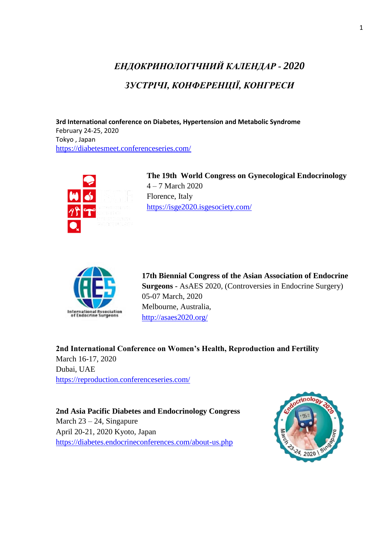## *ЕНДОКРИНОЛОГІЧНИЙ КАЛЕНДАР - 2020 ЗУСТРІЧІ, КОНФЕРЕНЦІЇ, КОНГРЕСИ*

**3rd International conference on Diabetes, Hypertension and Metabolic Syndrome** February 24-25, 2020 Tokyo , Japan <https://diabetesmeet.conferenceseries.com/>



**The 19th World Congress on Gynecological Endocrinology** 4 – 7 March 2020 Florence, Italy <https://isge2020.isgesociety.com/>



**17th Biennial Congress of the Asian Association of Endocrine Surgeons** - AsAES 2020, (Controversies in Endocrine Surgery) 05-07 March, 2020 Melbourne, Australia, <http://asaes2020.org/>

**2nd International Conference on Women's Health, Reproduction and Fertility** March 16-17, 2020 Dubai, UAE <https://reproduction.conferenceseries.com/>

**2nd Asia Pacific Diabetes and Endocrinology Congress** March  $23 - 24$ , Singapure April 20-21, 2020 Kyoto, Japan <https://diabetes.endocrineconferences.com/about-us.php>

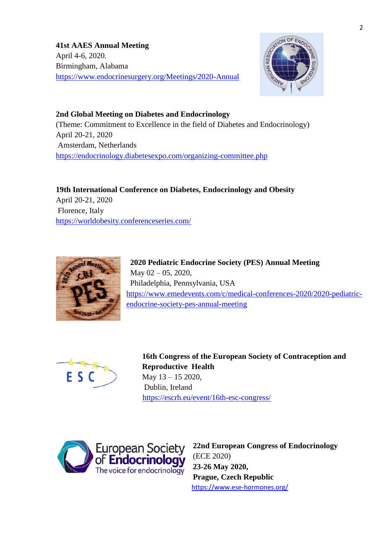**41st AAES Annual Meeting** April 4-6, 2020. Birmingham, Alabama <https://www.endocrinesurgery.org/Meetings/2020-Annual>



**2nd Global Meeting on Diabetes and Endocrinology**  (Theme: Commitment to Excellence in the field of Diabetes and Endocrinology) April 20-21, 2020 Amsterdam, Netherlands <https://endocrinology.diabetesexpo.com/organizing-committee.php>

**19th International Conference on Diabetes, Endocrinology and Obesity** April 20-21, 2020 Florence, Italy <https://worldobesity.conferenceseries.com/>



 **2020 Pediatric Endocrine Society (PES) Annual Meeting** May 02 – 05, 2020, Philadelphia, Pennsylvania, USA [https://www.emedevents.com/c/medical-conferences-2020/2020-pediatric](https://www.emedevents.com/c/medical-conferences-2020/2020-pediatric-endocrine-society-pes-annual-meeting)[endocrine-society-pes-annual-meeting](https://www.emedevents.com/c/medical-conferences-2020/2020-pediatric-endocrine-society-pes-annual-meeting)



 **16th Congress of the European Society of Contraception and Reproductive Health** May 13 – 15 2020, Dublin, Ireland <https://escrh.eu/event/16th-esc-congress/>



**22nd European Congress of Endocrinology** (ECE 2020) **23-26 May 2020, Prague, Czech Republic**  <https://www.ese-hormones.org/>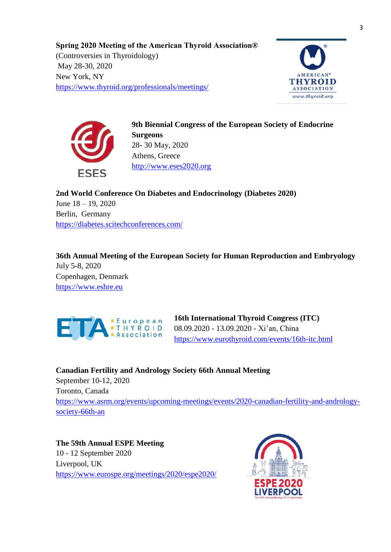**Spring 2020 Meeting of the American Thyroid Association®**  (Controversies in Thyroidology) May 28-30, 2020 New York, NY <https://www.thyroid.org/professionals/meetings/>





**9th Biennial Congress of the European Society of Endocrine Surgeons** 28- 30 May, 2020 Athens, Greece [http://www.eses2020.org](http://www.eses2020.org/)

**2nd World Conference On Diabetes and Endocrinology (Diabetes 2020)** June 18 – 19, 2020 Berlin, Germany <https://diabetes.scitechconferences.com/>

**36th Annual Meeting of the European Society for Human Reproduction and Embryology** July 5-8, 2020 Copenhagen, Denmark [https://www.eshre.eu](https://www.eshre.eu/)



 **16th International Thyroid Congress (ITC)** 08.09.2020 - 13.09.2020 - Xi'an, China <https://www.eurothyroid.com/events/16th-itc.html>

**Canadian Fertility and Andrology Society 66th Annual Meeting** September 10-12, 2020 Toronto, Canada [https://www.asrm.org/events/upcoming-meetings/events/2020-canadian-fertility-and-andrology](https://www.asrm.org/events/upcoming-meetings/events/2020-canadian-fertility-and-andrology-society-66th-an)[society-66th-an](https://www.asrm.org/events/upcoming-meetings/events/2020-canadian-fertility-and-andrology-society-66th-an)

**The 59th Annual ESPE Meeting** 10 - 12 September 2020 Liverpool, UK <https://www.eurospe.org/meetings/2020/espe2020/>